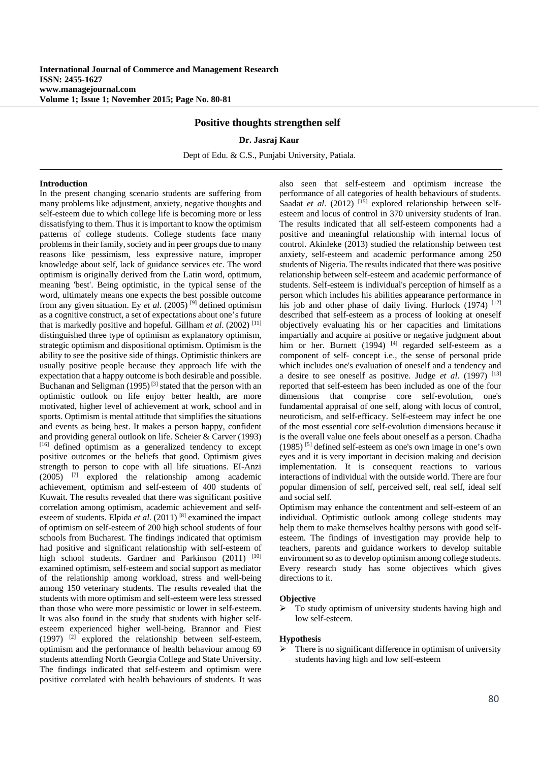# **Positive thoughts strengthen self**

#### **Dr. Jasraj Kaur**

Dept of Edu. & C.S., Punjabi University, Patiala.

## **Introduction**

In the present changing scenario students are suffering from many problems like adjustment, anxiety, negative thoughts and self-esteem due to which college life is becoming more or less dissatisfying to them. Thus it is important to know the optimism patterns of college students. College students face many problems in their family, society and in peer groups due to many reasons like pessimism, less expressive nature, improper knowledge about self, lack of guidance services etc. The word optimism is originally derived from the Latin word, optimum, meaning 'best'. Being optimistic, in the typical sense of the word, ultimately means one expects the best possible outcome from any given situation. Ey *et al*. (2005) [9] defined optimism as a cognitive construct, a set of expectations about one's future that is markedly positive and hopeful. Gillham *et al*. (2002) [11] distinguished three type of optimism as explanatory optimism, strategic optimism and dispositional optimism. Optimism is the ability to see the positive side of things. Optimistic thinkers are usually positive people because they approach life with the expectation that a happy outcome is both desirable and possible. Buchanan and Seligman  $(1995)^{[3]}$  stated that the person with an optimistic outlook on life enjoy better health, are more motivated, higher level of achievement at work, school and in sports. Optimism is mental attitude that simplifies the situations and events as being best. It makes a person happy, confident and providing general outlook on life. Scheier & Carver (1993) [16] defined optimism as a generalized tendency to except positive outcomes or the beliefs that good. Optimism gives strength to person to cope with all life situations. EI-Anzi  $(2005)$  <sup>[7]</sup> explored the relationship among academic achievement, optimism and self-esteem of 400 students of Kuwait. The results revealed that there was significant positive correlation among optimism, academic achievement and selfesteem of students. Elpida *et al*. (2011) [8] examined the impact of optimism on self-esteem of 200 high school students of four schools from Bucharest. The findings indicated that optimism had positive and significant relationship with self-esteem of high school students. Gardner and Parkinson (2011) [10] examined optimism, self-esteem and social support as mediator of the relationship among workload, stress and well-being among 150 veterinary students. The results revealed that the students with more optimism and self-esteem were less stressed than those who were more pessimistic or lower in self-esteem. It was also found in the study that students with higher selfesteem experienced higher well-being. Brannor and Fiest (1997) [2] explored the relationship between self-esteem, optimism and the performance of health behaviour among 69 students attending North Georgia College and State University. The findings indicated that self-esteem and optimism were positive correlated with health behaviours of students. It was

also seen that self-esteem and optimism increase the performance of all categories of health behaviours of students. Saadat *et al.* (2012) <sup>[15]</sup> explored relationship between selfesteem and locus of control in 370 university students of Iran. The results indicated that all self-esteem components had a positive and meaningful relationship with internal locus of control. Akinleke (2013) studied the relationship between test anxiety, self-esteem and academic performance among 250 students of Nigeria. The results indicated that there was positive relationship between self-esteem and academic performance of students. Self-esteem is individual's perception of himself as a person which includes his abilities appearance performance in his job and other phase of daily living. Hurlock  $(1974)$ <sup>[12]</sup> described that self-esteem as a process of looking at oneself objectively evaluating his or her capacities and limitations impartially and acquire at positive or negative judgment about him or her. Burnett (1994)  $[4]$  regarded self-esteem as a component of self- concept i.e., the sense of personal pride which includes one's evaluation of oneself and a tendency and a desire to see oneself as positive. Judge *et al*. (1997) [13] reported that self-esteem has been included as one of the four dimensions that comprise core self-evolution, one's fundamental appraisal of one self, along with locus of control, neuroticism, and self-efficacy. Self-esteem may infect be one of the most essential core self-evolution dimensions because it is the overall value one feels about oneself as a person. Chadha (1985) [5] defined self-esteem as one's own image in one's own eyes and it is very important in decision making and decision implementation. It is consequent reactions to various interactions of individual with the outside world. There are four popular dimension of self, perceived self, real self, ideal self and social self.

Optimism may enhance the contentment and self-esteem of an individual. Optimistic outlook among college students may help them to make themselves healthy persons with good selfesteem. The findings of investigation may provide help to teachers, parents and guidance workers to develop suitable environment so as to develop optimism among college students. Every research study has some objectives which gives directions to it.

### **Objective**

 To study optimism of university students having high and low self-esteem.

## **Hypothesis**

 There is no significant difference in optimism of university students having high and low self-esteem